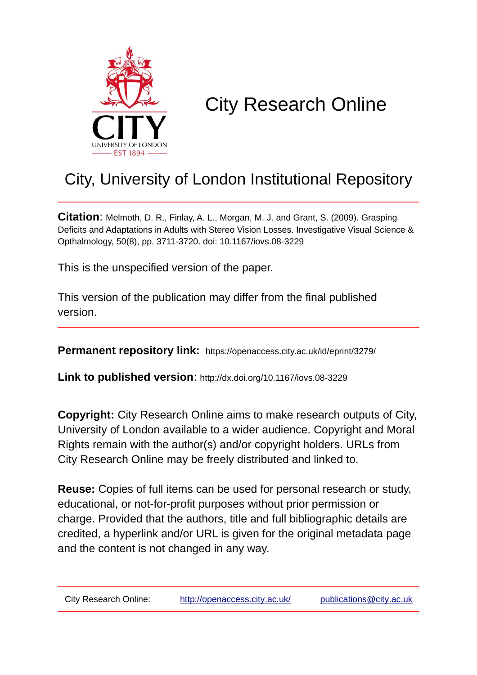

# City Research Online

## City, University of London Institutional Repository

**Citation**: Melmoth, D. R., Finlay, A. L., Morgan, M. J. and Grant, S. (2009). Grasping Deficits and Adaptations in Adults with Stereo Vision Losses. Investigative Visual Science & Opthalmology, 50(8), pp. 3711-3720. doi: 10.1167/iovs.08-3229

This is the unspecified version of the paper.

This version of the publication may differ from the final published version.

**Permanent repository link:** https://openaccess.city.ac.uk/id/eprint/3279/

**Link to published version**: http://dx.doi.org/10.1167/iovs.08-3229

**Copyright:** City Research Online aims to make research outputs of City, University of London available to a wider audience. Copyright and Moral Rights remain with the author(s) and/or copyright holders. URLs from City Research Online may be freely distributed and linked to.

**Reuse:** Copies of full items can be used for personal research or study, educational, or not-for-profit purposes without prior permission or charge. Provided that the authors, title and full bibliographic details are credited, a hyperlink and/or URL is given for the original metadata page and the content is not changed in any way.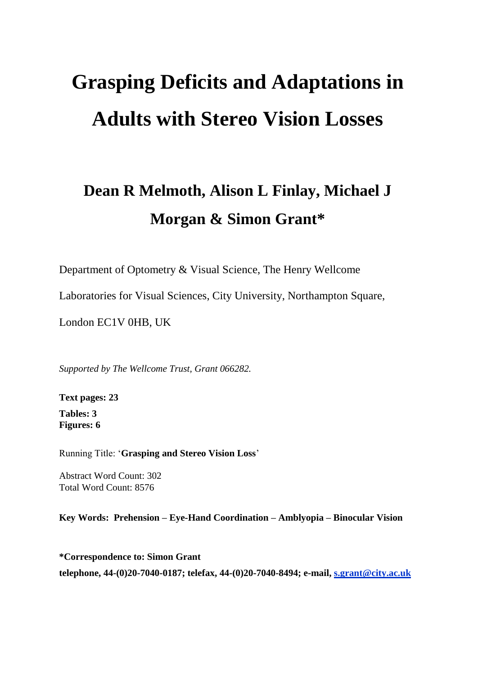# **Grasping Deficits and Adaptations in Adults with Stereo Vision Losses**

# **Dean R Melmoth, Alison L Finlay, Michael J Morgan & Simon Grant\***

Department of Optometry & Visual Science, The Henry Wellcome

Laboratories for Visual Sciences, City University, Northampton Square,

London EC1V 0HB, UK

*Supported by The Wellcome Trust, Grant 066282.*

**Text pages: 23 Tables: 3 Figures: 6**

Running Title: '**Grasping and Stereo Vision Loss**'

Abstract Word Count: 302 Total Word Count: 8576

**Key Words: Prehension – Eye-Hand Coordination – Amblyopia – Binocular Vision**

**\*Correspondence to: Simon Grant telephone, 44-(0)20-7040-0187; telefax, 44-(0)20-7040-8494; e-mail, [s.grant@city.ac.uk](mailto:s.grant@city.ac.uk)**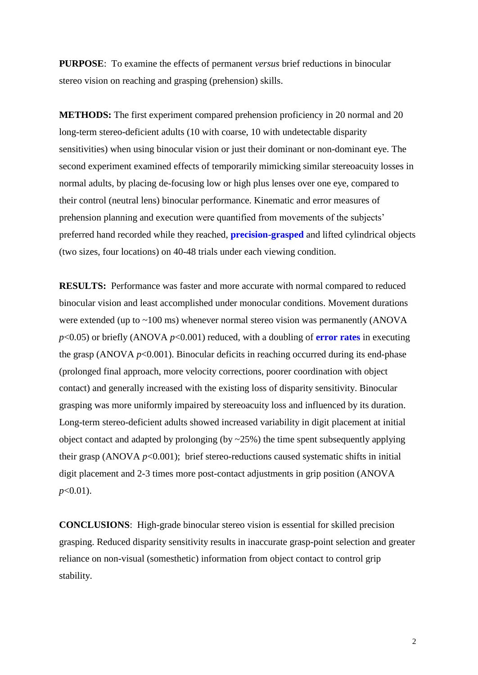**PURPOSE**: To examine the effects of permanent *versus* brief reductions in binocular stereo vision on reaching and grasping (prehension) skills.

**METHODS:** The first experiment compared prehension proficiency in 20 normal and 20 long-term stereo-deficient adults (10 with coarse, 10 with undetectable disparity sensitivities) when using binocular vision or just their dominant or non-dominant eye. The second experiment examined effects of temporarily mimicking similar stereoacuity losses in normal adults, by placing de-focusing low or high plus lenses over one eye, compared to their control (neutral lens) binocular performance. Kinematic and error measures of prehension planning and execution were quantified from movements of the subjects' preferred hand recorded while they reached, **precision-grasped** and lifted cylindrical objects (two sizes, four locations) on 40-48 trials under each viewing condition.

**RESULTS:** Performance was faster and more accurate with normal compared to reduced binocular vision and least accomplished under monocular conditions. Movement durations were extended (up to  $\sim$ 100 ms) whenever normal stereo vision was permanently (ANOVA *p*<0.05) or briefly (ANOVA *p*<0.001) reduced, with a doubling of **error rates** in executing the grasp (ANOVA  $p<0.001$ ). Binocular deficits in reaching occurred during its end-phase (prolonged final approach, more velocity corrections, poorer coordination with object contact) and generally increased with the existing loss of disparity sensitivity. Binocular grasping was more uniformly impaired by stereoacuity loss and influenced by its duration. Long-term stereo-deficient adults showed increased variability in digit placement at initial object contact and adapted by prolonging (by ~25%) the time spent subsequently applying their grasp (ANOVA  $p<0.001$ ); brief stereo-reductions caused systematic shifts in initial digit placement and 2-3 times more post-contact adjustments in grip position (ANOVA *p*<0.01).

**CONCLUSIONS**: High-grade binocular stereo vision is essential for skilled precision grasping. Reduced disparity sensitivity results in inaccurate grasp-point selection and greater reliance on non-visual (somesthetic) information from object contact to control grip stability.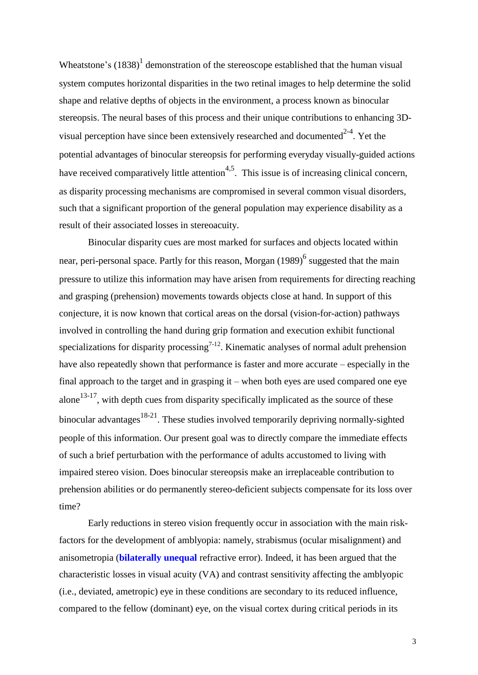Wheatstone's  $(1838)^1$  demonstration of the stereoscope established that the human visual system computes horizontal disparities in the two retinal images to help determine the solid shape and relative depths of objects in the environment, a process known as binocular stereopsis. The neural bases of this process and their unique contributions to enhancing 3Dvisual perception have since been extensively researched and documented $2^{-4}$ . Yet the potential advantages of binocular stereopsis for performing everyday visually-guided actions have received comparatively little attention<sup>4,5</sup>. This issue is of increasing clinical concern, as disparity processing mechanisms are compromised in several common visual disorders, such that a significant proportion of the general population may experience disability as a result of their associated losses in stereoacuity.

Binocular disparity cues are most marked for surfaces and objects located within near, peri-personal space. Partly for this reason, Morgan (1989)<sup>6</sup> suggested that the main pressure to utilize this information may have arisen from requirements for directing reaching and grasping (prehension) movements towards objects close at hand. In support of this conjecture, it is now known that cortical areas on the dorsal (vision-for-action) pathways involved in controlling the hand during grip formation and execution exhibit functional specializations for disparity processing<sup> $7-12$ </sup>. Kinematic analyses of normal adult prehension have also repeatedly shown that performance is faster and more accurate – especially in the final approach to the target and in grasping it – when both eyes are used compared one eye alone<sup>13-17</sup>, with depth cues from disparity specifically implicated as the source of these binocular advantages <sup>18-21</sup>. These studies involved temporarily depriving normally-sighted people of this information. Our present goal was to directly compare the immediate effects of such a brief perturbation with the performance of adults accustomed to living with impaired stereo vision. Does binocular stereopsis make an irreplaceable contribution to prehension abilities or do permanently stereo-deficient subjects compensate for its loss over time?

Early reductions in stereo vision frequently occur in association with the main riskfactors for the development of amblyopia: namely, strabismus (ocular misalignment) and anisometropia (**bilaterally unequal** refractive error). Indeed, it has been argued that the characteristic losses in visual acuity (VA) and contrast sensitivity affecting the amblyopic (i.e., deviated, ametropic) eye in these conditions are secondary to its reduced influence, compared to the fellow (dominant) eye, on the visual cortex during critical periods in its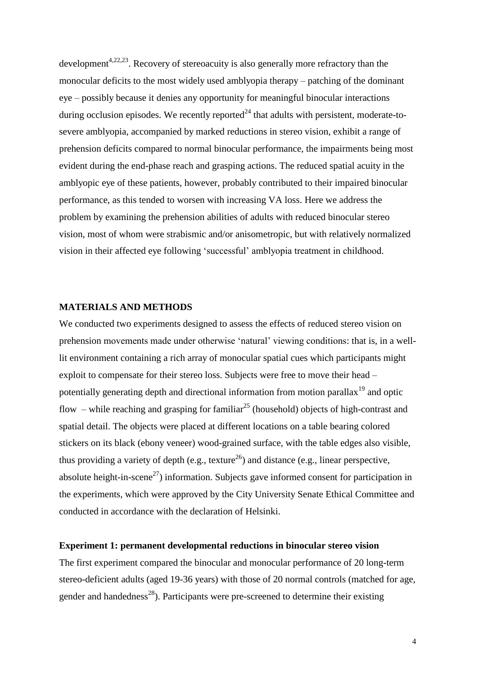development<sup>4,22,23</sup>. Recovery of stereoacuity is also generally more refractory than the monocular deficits to the most widely used amblyopia therapy – patching of the dominant eye – possibly because it denies any opportunity for meaningful binocular interactions during occlusion episodes. We recently reported $^{24}$  that adults with persistent, moderate-tosevere amblyopia, accompanied by marked reductions in stereo vision, exhibit a range of prehension deficits compared to normal binocular performance, the impairments being most evident during the end-phase reach and grasping actions. The reduced spatial acuity in the amblyopic eye of these patients, however, probably contributed to their impaired binocular performance, as this tended to worsen with increasing VA loss. Here we address the problem by examining the prehension abilities of adults with reduced binocular stereo vision, most of whom were strabismic and/or anisometropic, but with relatively normalized vision in their affected eye following 'successful' amblyopia treatment in childhood.

#### **MATERIALS AND METHODS**

We conducted two experiments designed to assess the effects of reduced stereo vision on prehension movements made under otherwise 'natural' viewing conditions: that is, in a welllit environment containing a rich array of monocular spatial cues which participants might exploit to compensate for their stereo loss. Subjects were free to move their head – potentially generating depth and directional information from motion parallax<sup>19</sup> and optic flow – while reaching and grasping for familiar<sup>25</sup> (household) objects of high-contrast and spatial detail. The objects were placed at different locations on a table bearing colored stickers on its black (ebony veneer) wood-grained surface, with the table edges also visible, thus providing a variety of depth (e.g., texture<sup>26</sup>) and distance (e.g., linear perspective, absolute height-in-scene<sup>27</sup>) information. Subjects gave informed consent for participation in the experiments, which were approved by the City University Senate Ethical Committee and conducted in accordance with the declaration of Helsinki.

#### **Experiment 1: permanent developmental reductions in binocular stereo vision**

The first experiment compared the binocular and monocular performance of 20 long-term stereo-deficient adults (aged 19-36 years) with those of 20 normal controls (matched for age, gender and handedness<sup>28</sup>). Participants were pre-screened to determine their existing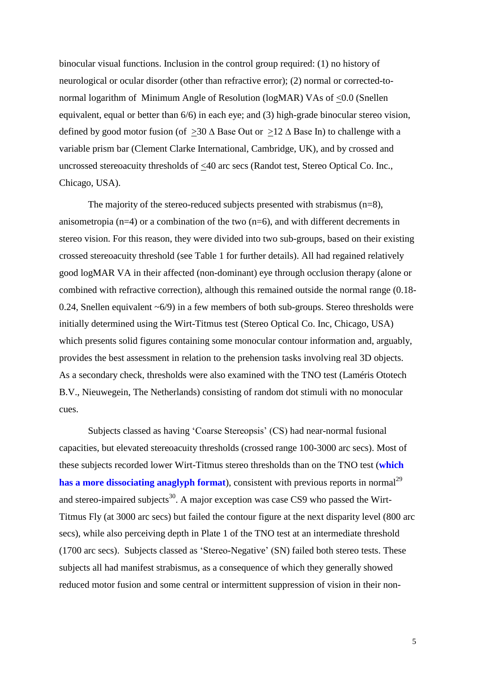binocular visual functions. Inclusion in the control group required: (1) no history of neurological or ocular disorder (other than refractive error); (2) normal or corrected-tonormal logarithm of Minimum Angle of Resolution (logMAR) VAs of <0.0 (Snellen equivalent, equal or better than 6/6) in each eye; and (3) high-grade binocular stereo vision, defined by good motor fusion (of  $\geq 30 \Delta$  Base Out or  $\geq 12 \Delta$  Base In) to challenge with a variable prism bar (Clement Clarke International, Cambridge, UK), and by crossed and uncrossed stereoacuity thresholds of <40 arc secs (Randot test, Stereo Optical Co. Inc., Chicago, USA).

The majority of the stereo-reduced subjects presented with strabismus (n=8), anisometropia ( $n=4$ ) or a combination of the two ( $n=6$ ), and with different decrements in stereo vision. For this reason, they were divided into two sub-groups, based on their existing crossed stereoacuity threshold (see Table 1 for further details). All had regained relatively good logMAR VA in their affected (non-dominant) eye through occlusion therapy (alone or combined with refractive correction), although this remained outside the normal range (0.18- 0.24, Snellen equivalent  $\sim 6/9$ ) in a few members of both sub-groups. Stereo thresholds were initially determined using the Wirt-Titmus test (Stereo Optical Co. Inc, Chicago, USA) which presents solid figures containing some monocular contour information and, arguably, provides the best assessment in relation to the prehension tasks involving real 3D objects. As a secondary check, thresholds were also examined with the TNO test (Laméris Ototech B.V., Nieuwegein, The Netherlands) consisting of random dot stimuli with no monocular cues.

Subjects classed as having 'Coarse Stereopsis' (CS) had near-normal fusional capacities, but elevated stereoacuity thresholds (crossed range 100-3000 arc secs). Most of these subjects recorded lower Wirt-Titmus stereo thresholds than on the TNO test (**which has a more dissociating anaglyph format**), consistent with previous reports in normal<sup>29</sup> and stereo-impaired subjects<sup>30</sup>. A major exception was case CS9 who passed the Wirt-Titmus Fly (at 3000 arc secs) but failed the contour figure at the next disparity level (800 arc secs), while also perceiving depth in Plate 1 of the TNO test at an intermediate threshold (1700 arc secs). Subjects classed as 'Stereo-Negative' (SN) failed both stereo tests. These subjects all had manifest strabismus, as a consequence of which they generally showed reduced motor fusion and some central or intermittent suppression of vision in their non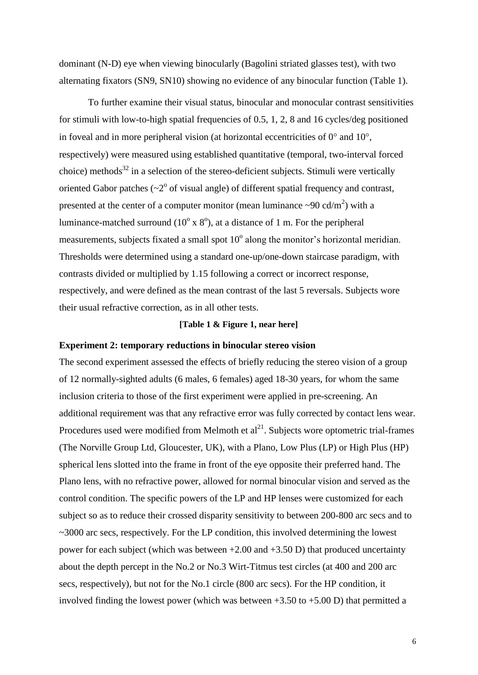dominant (N-D) eye when viewing binocularly (Bagolini striated glasses test), with two alternating fixators (SN9, SN10) showing no evidence of any binocular function (Table 1).

To further examine their visual status, binocular and monocular contrast sensitivities for stimuli with low-to-high spatial frequencies of 0.5, 1, 2, 8 and 16 cycles/deg positioned in foveal and in more peripheral vision (at horizontal eccentricities of  $0^{\circ}$  and  $10^{\circ}$ . respectively) were measured using established quantitative (temporal, two-interval forced choice) methods<sup>32</sup> in a selection of the stereo-deficient subjects. Stimuli were vertically oriented Gabor patches  $({\sim}2^{\circ}$  of visual angle) of different spatial frequency and contrast, presented at the center of a computer monitor (mean luminance  $\sim 90 \text{ cd/m}^2$ ) with a luminance-matched surround ( $10^{\circ}$  x  $8^{\circ}$ ), at a distance of 1 m. For the peripheral measurements, subjects fixated a small spot  $10^{\circ}$  along the monitor's horizontal meridian. Thresholds were determined using a standard one-up/one-down staircase paradigm, with contrasts divided or multiplied by 1.15 following a correct or incorrect response, respectively, and were defined as the mean contrast of the last 5 reversals. Subjects wore their usual refractive correction, as in all other tests.

#### **[Table 1 & Figure 1, near here]**

#### **Experiment 2: temporary reductions in binocular stereo vision**

The second experiment assessed the effects of briefly reducing the stereo vision of a group of 12 normally-sighted adults (6 males, 6 females) aged 18-30 years, for whom the same inclusion criteria to those of the first experiment were applied in pre-screening. An additional requirement was that any refractive error was fully corrected by contact lens wear. Procedures used were modified from Melmoth et  $al^{21}$ . Subjects wore optometric trial-frames (The Norville Group Ltd, Gloucester, UK), with a Plano, Low Plus (LP) or High Plus (HP) spherical lens slotted into the frame in front of the eye opposite their preferred hand. The Plano lens, with no refractive power, allowed for normal binocular vision and served as the control condition. The specific powers of the LP and HP lenses were customized for each subject so as to reduce their crossed disparity sensitivity to between 200-800 arc secs and to ~3000 arc secs, respectively. For the LP condition, this involved determining the lowest power for each subject (which was between  $+2.00$  and  $+3.50$  D) that produced uncertainty about the depth percept in the No.2 or No.3 Wirt-Titmus test circles (at 400 and 200 arc secs, respectively), but not for the No.1 circle (800 arc secs). For the HP condition, it involved finding the lowest power (which was between  $+3.50$  to  $+5.00$  D) that permitted a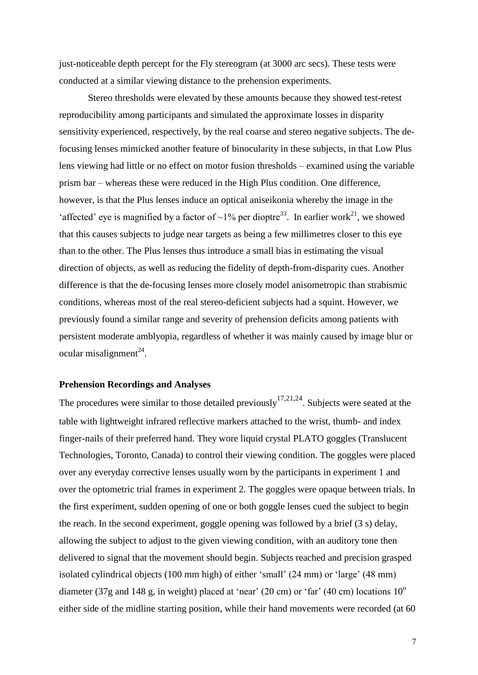just-noticeable depth percept for the Fly stereogram (at 3000 arc secs). These tests were conducted at a similar viewing distance to the prehension experiments.

Stereo thresholds were elevated by these amounts because they showed test-retest reproducibility among participants and simulated the approximate losses in disparity sensitivity experienced, respectively, by the real coarse and stereo negative subjects. The defocusing lenses mimicked another feature of binocularity in these subjects, in that Low Plus lens viewing had little or no effect on motor fusion thresholds – examined using the variable prism bar – whereas these were reduced in the High Plus condition. One difference, however, is that the Plus lenses induce an optical aniseikonia whereby the image in the 'affected' eye is magnified by a factor of  $\sim$ 1% per dioptre<sup>33</sup>. In earlier work<sup>21</sup>, we showed that this causes subjects to judge near targets as being a few millimetres closer to this eye than to the other. The Plus lenses thus introduce a small bias in estimating the visual direction of objects, as well as reducing the fidelity of depth-from-disparity cues. Another difference is that the de-focusing lenses more closely model anisometropic than strabismic conditions, whereas most of the real stereo-deficient subjects had a squint. However, we previously found a similar range and severity of prehension deficits among patients with persistent moderate amblyopia, regardless of whether it was mainly caused by image blur or ocular misalignment $^{24}$ .

#### **Prehension Recordings and Analyses**

The procedures were similar to those detailed previously  $17,21,24$ . Subjects were seated at the table with lightweight infrared reflective markers attached to the wrist, thumb- and index finger-nails of their preferred hand. They wore liquid crystal PLATO goggles (Translucent Technologies, Toronto, Canada) to control their viewing condition. The goggles were placed over any everyday corrective lenses usually worn by the participants in experiment 1 and over the optometric trial frames in experiment 2. The goggles were opaque between trials. In the first experiment, sudden opening of one or both goggle lenses cued the subject to begin the reach. In the second experiment, goggle opening was followed by a brief (3 s) delay, allowing the subject to adjust to the given viewing condition, with an auditory tone then delivered to signal that the movement should begin. Subjects reached and precision grasped isolated cylindrical objects (100 mm high) of either 'small' (24 mm) or 'large' (48 mm) diameter (37g and 148 g, in weight) placed at 'near' (20 cm) or 'far' (40 cm) locations  $10^{\circ}$ either side of the midline starting position, while their hand movements were recorded (at 60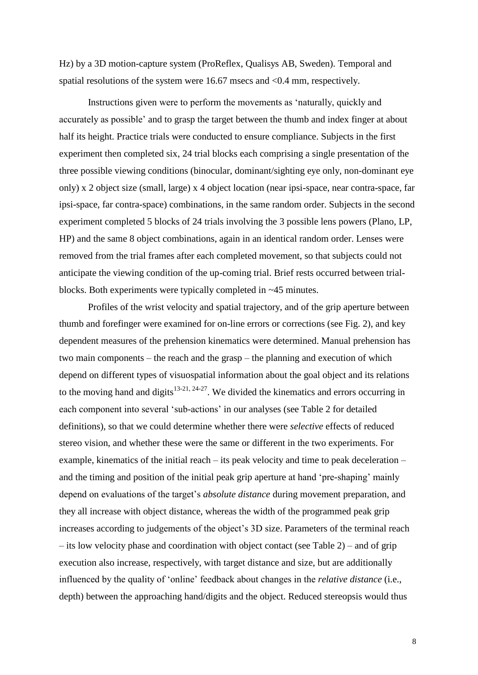Hz) by a 3D motion-capture system (ProReflex, Qualisys AB, Sweden). Temporal and spatial resolutions of the system were 16.67 msecs and <0.4 mm, respectively.

Instructions given were to perform the movements as 'naturally, quickly and accurately as possible' and to grasp the target between the thumb and index finger at about half its height. Practice trials were conducted to ensure compliance. Subjects in the first experiment then completed six, 24 trial blocks each comprising a single presentation of the three possible viewing conditions (binocular, dominant/sighting eye only, non-dominant eye only) x 2 object size (small, large) x 4 object location (near ipsi-space, near contra-space, far ipsi-space, far contra-space) combinations, in the same random order. Subjects in the second experiment completed 5 blocks of 24 trials involving the 3 possible lens powers (Plano, LP, HP) and the same 8 object combinations, again in an identical random order. Lenses were removed from the trial frames after each completed movement, so that subjects could not anticipate the viewing condition of the up-coming trial. Brief rests occurred between trialblocks. Both experiments were typically completed in ~45 minutes.

Profiles of the wrist velocity and spatial trajectory, and of the grip aperture between thumb and forefinger were examined for on-line errors or corrections (see Fig. 2), and key dependent measures of the prehension kinematics were determined. Manual prehension has two main components – the reach and the grasp – the planning and execution of which depend on different types of visuospatial information about the goal object and its relations to the moving hand and digits<sup>13-21, 24-27</sup>. We divided the kinematics and errors occurring in each component into several 'sub-actions' in our analyses (see Table 2 for detailed definitions), so that we could determine whether there were *selective* effects of reduced stereo vision, and whether these were the same or different in the two experiments. For example, kinematics of the initial reach – its peak velocity and time to peak deceleration – and the timing and position of the initial peak grip aperture at hand 'pre-shaping' mainly depend on evaluations of the target's *absolute distance* during movement preparation, and they all increase with object distance, whereas the width of the programmed peak grip increases according to judgements of the object's 3D size. Parameters of the terminal reach – its low velocity phase and coordination with object contact (see Table 2) – and of grip execution also increase, respectively, with target distance and size, but are additionally influenced by the quality of 'online' feedback about changes in the *relative distance* (i.e., depth) between the approaching hand/digits and the object. Reduced stereopsis would thus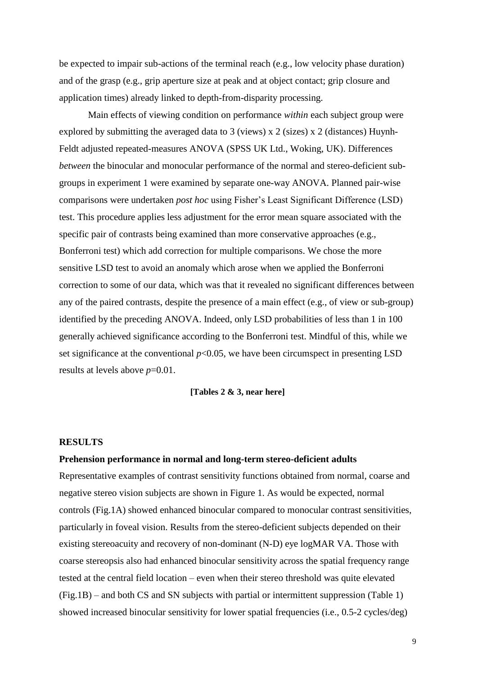be expected to impair sub-actions of the terminal reach (e.g., low velocity phase duration) and of the grasp (e.g., grip aperture size at peak and at object contact; grip closure and application times) already linked to depth-from-disparity processing.

Main effects of viewing condition on performance *within* each subject group were explored by submitting the averaged data to 3 (views) x 2 (sizes) x 2 (distances) Huynh-Feldt adjusted repeated-measures ANOVA (SPSS UK Ltd., Woking, UK). Differences *between* the binocular and monocular performance of the normal and stereo-deficient subgroups in experiment 1 were examined by separate one-way ANOVA. Planned pair-wise comparisons were undertaken *post hoc* using Fisher's Least Significant Difference (LSD) test. This procedure applies less adjustment for the error mean square associated with the specific pair of contrasts being examined than more conservative approaches (e.g., Bonferroni test) which add correction for multiple comparisons. We chose the more sensitive LSD test to avoid an anomaly which arose when we applied the Bonferroni correction to some of our data, which was that it revealed no significant differences between any of the paired contrasts, despite the presence of a main effect (e.g., of view or sub-group) identified by the preceding ANOVA. Indeed, only LSD probabilities of less than 1 in 100 generally achieved significance according to the Bonferroni test. Mindful of this, while we set significance at the conventional  $p<0.05$ , we have been circumspect in presenting LSD results at levels above *p*=0.01.

**[Tables 2 & 3, near here]**

#### **RESULTS**

#### **Prehension performance in normal and long-term stereo-deficient adults**

Representative examples of contrast sensitivity functions obtained from normal, coarse and negative stereo vision subjects are shown in Figure 1. As would be expected, normal controls (Fig.1A) showed enhanced binocular compared to monocular contrast sensitivities, particularly in foveal vision. Results from the stereo-deficient subjects depended on their existing stereoacuity and recovery of non-dominant (N-D) eye logMAR VA. Those with coarse stereopsis also had enhanced binocular sensitivity across the spatial frequency range tested at the central field location – even when their stereo threshold was quite elevated (Fig.1B) – and both CS and SN subjects with partial or intermittent suppression (Table 1) showed increased binocular sensitivity for lower spatial frequencies (i.e., 0.5-2 cycles/deg)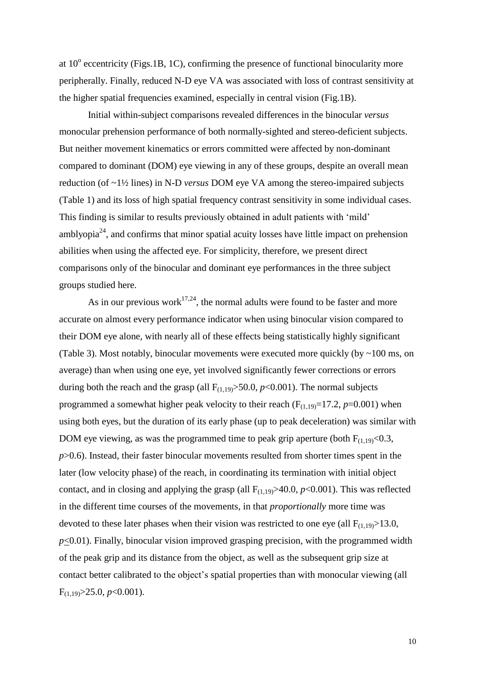at  $10^{\circ}$  eccentricity (Figs.1B, 1C), confirming the presence of functional binocularity more peripherally. Finally, reduced N-D eye VA was associated with loss of contrast sensitivity at the higher spatial frequencies examined, especially in central vision (Fig.1B).

Initial within-subject comparisons revealed differences in the binocular *versus* monocular prehension performance of both normally-sighted and stereo-deficient subjects. But neither movement kinematics or errors committed were affected by non-dominant compared to dominant (DOM) eye viewing in any of these groups, despite an overall mean reduction (of ~1½ lines) in N-D *versus* DOM eye VA among the stereo-impaired subjects (Table 1) and its loss of high spatial frequency contrast sensitivity in some individual cases. This finding is similar to results previously obtained in adult patients with 'mild' amblyopia<sup>24</sup>, and confirms that minor spatial acuity losses have little impact on prehension abilities when using the affected eye. For simplicity, therefore, we present direct comparisons only of the binocular and dominant eye performances in the three subject groups studied here.

As in our previous work<sup>17,24</sup>, the normal adults were found to be faster and more accurate on almost every performance indicator when using binocular vision compared to their DOM eye alone, with nearly all of these effects being statistically highly significant (Table 3). Most notably, binocular movements were executed more quickly (by ~100 ms, on average) than when using one eye, yet involved significantly fewer corrections or errors during both the reach and the grasp (all  $F_{(1,19)} > 50.0$ ,  $p < 0.001$ ). The normal subjects programmed a somewhat higher peak velocity to their reach  $(F_{(1,19)}=17.2, p=0.001)$  when using both eyes, but the duration of its early phase (up to peak deceleration) was similar with DOM eye viewing, as was the programmed time to peak grip aperture (both  $F_{(1,19)}<0.3$ , *p*>0.6). Instead, their faster binocular movements resulted from shorter times spent in the later (low velocity phase) of the reach, in coordinating its termination with initial object contact, and in closing and applying the grasp (all  $F_{(1,19)} > 40.0$ ,  $p < 0.001$ ). This was reflected in the different time courses of the movements, in that *proportionally* more time was devoted to these later phases when their vision was restricted to one eye (all  $F_{(1,19)} > 13.0$ ,  $p \leq 0.01$ ). Finally, binocular vision improved grasping precision, with the programmed width of the peak grip and its distance from the object, as well as the subsequent grip size at contact better calibrated to the object's spatial properties than with monocular viewing (all  $F_{(1,19)} > 25.0, p < 0.001$ ).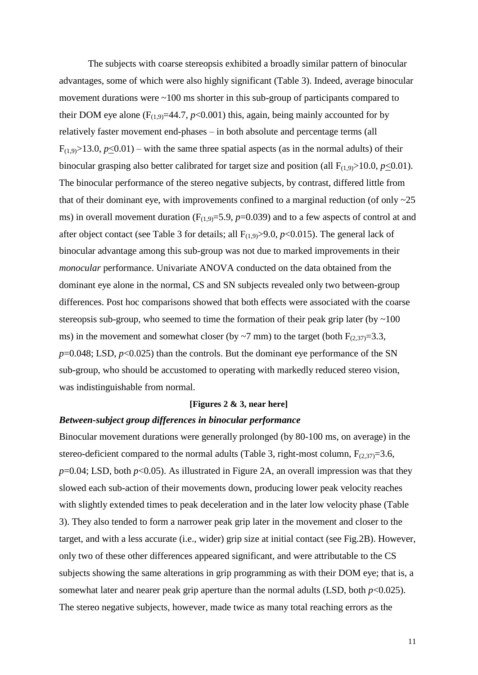The subjects with coarse stereopsis exhibited a broadly similar pattern of binocular advantages, some of which were also highly significant (Table 3). Indeed, average binocular movement durations were ~100 ms shorter in this sub-group of participants compared to their DOM eye alone  $(F_{(1,9)}=44.7, p<0.001)$  this, again, being mainly accounted for by relatively faster movement end-phases – in both absolute and percentage terms (all  $F_{(1,9)} > 13.0$ ,  $p \le 0.01$ ) – with the same three spatial aspects (as in the normal adults) of their binocular grasping also better calibrated for target size and position (all  $F_{(1,9)} > 10.0$ ,  $p \le 0.01$ ). The binocular performance of the stereo negative subjects, by contrast, differed little from that of their dominant eye, with improvements confined to a marginal reduction (of only  $\sim$ 25 ms) in overall movement duration  $(F_{(1,9)}=5.9, p=0.039)$  and to a few aspects of control at and after object contact (see Table 3 for details; all  $F_{(1,9)} > 9.0$ ,  $p < 0.015$ ). The general lack of binocular advantage among this sub-group was not due to marked improvements in their *monocular* performance. Univariate ANOVA conducted on the data obtained from the dominant eye alone in the normal, CS and SN subjects revealed only two between-group differences. Post hoc comparisons showed that both effects were associated with the coarse stereopsis sub-group, who seemed to time the formation of their peak grip later (by  $\sim$  100 ms) in the movement and somewhat closer (by ~7 mm) to the target (both  $F_{(2,37)}=3.3$ , *p*=0.048; LSD, *p*<0.025) than the controls. But the dominant eye performance of the SN sub-group, who should be accustomed to operating with markedly reduced stereo vision, was indistinguishable from normal.

#### **[Figures 2 & 3, near here]**

#### *Between-subject group differences in binocular performance*

Binocular movement durations were generally prolonged (by 80-100 ms, on average) in the stereo-deficient compared to the normal adults (Table 3, right-most column,  $F_{(2,37)}=3.6$ ,  $p=0.04$ ; LSD, both  $p<0.05$ ). As illustrated in Figure 2A, an overall impression was that they slowed each sub-action of their movements down, producing lower peak velocity reaches with slightly extended times to peak deceleration and in the later low velocity phase (Table 3). They also tended to form a narrower peak grip later in the movement and closer to the target, and with a less accurate (i.e., wider) grip size at initial contact (see Fig.2B). However, only two of these other differences appeared significant, and were attributable to the CS subjects showing the same alterations in grip programming as with their DOM eye; that is, a somewhat later and nearer peak grip aperture than the normal adults  $(LSD, both p<0.025)$ . The stereo negative subjects, however, made twice as many total reaching errors as the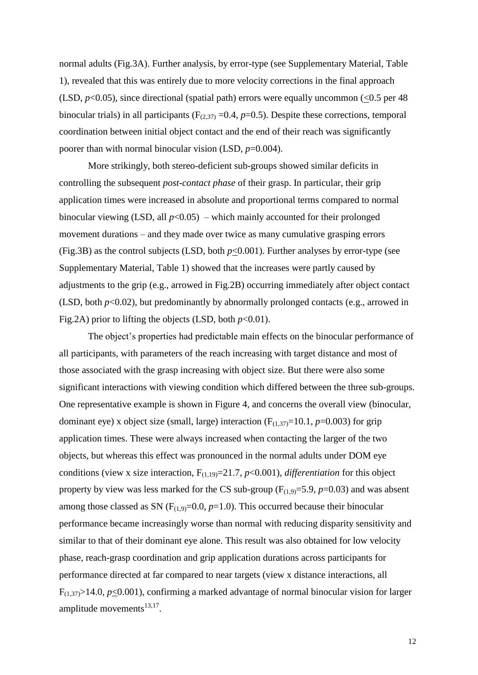normal adults (Fig.3A). Further analysis, by error-type (see Supplementary Material, Table 1), revealed that this was entirely due to more velocity corrections in the final approach (LSD,  $p<0.05$ ), since directional (spatial path) errors were equally uncommon (<0.5 per 48 binocular trials) in all participants ( $F_{(2,37)} = 0.4$ ,  $p=0.5$ ). Despite these corrections, temporal coordination between initial object contact and the end of their reach was significantly poorer than with normal binocular vision (LSD, *p*=0.004).

More strikingly, both stereo-deficient sub-groups showed similar deficits in controlling the subsequent *post-contact phase* of their grasp. In particular, their grip application times were increased in absolute and proportional terms compared to normal binocular viewing (LSD, all  $p<0.05$ ) – which mainly accounted for their prolonged movement durations – and they made over twice as many cumulative grasping errors (Fig.3B) as the control subjects (LSD, both  $p<0.001$ ). Further analyses by error-type (see Supplementary Material, Table 1) showed that the increases were partly caused by adjustments to the grip (e.g., arrowed in Fig.2B) occurring immediately after object contact (LSD, both *p*<0.02), but predominantly by abnormally prolonged contacts (e.g., arrowed in Fig.2A) prior to lifting the objects (LSD, both  $p<0.01$ ).

The object's properties had predictable main effects on the binocular performance of all participants, with parameters of the reach increasing with target distance and most of those associated with the grasp increasing with object size. But there were also some significant interactions with viewing condition which differed between the three sub-groups. One representative example is shown in Figure 4, and concerns the overall view (binocular, dominant eye) x object size (small, large) interaction  $(F_{(1,37)}=10.1, p=0.003)$  for grip application times. These were always increased when contacting the larger of the two objects, but whereas this effect was pronounced in the normal adults under DOM eye conditions (view x size interaction,  $F_{(1,19)} = 21.7$ ,  $p < 0.001$ ), *differentiation* for this object property by view was less marked for the CS sub-group  $(F_{(1,9)}=5.9, p=0.03)$  and was absent among those classed as SN  $(F_{(1,9)}=0.0, p=1.0)$ . This occurred because their binocular performance became increasingly worse than normal with reducing disparity sensitivity and similar to that of their dominant eye alone. This result was also obtained for low velocity phase, reach-grasp coordination and grip application durations across participants for performance directed at far compared to near targets (view x distance interactions, all  $F_{(1,37)} > 14.0$ ,  $p \le 0.001$ ), confirming a marked advantage of normal binocular vision for larger amplitude movements $^{13,17}$ .

12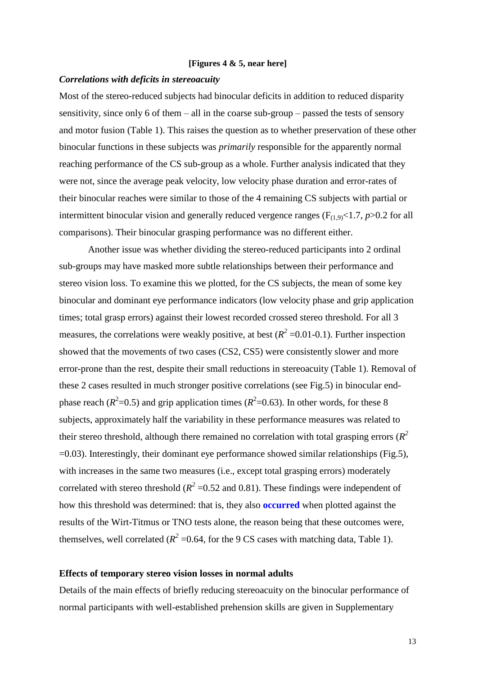#### **[Figures 4 & 5, near here]**

#### *Correlations with deficits in stereoacuity*

Most of the stereo-reduced subjects had binocular deficits in addition to reduced disparity sensitivity, since only 6 of them – all in the coarse sub-group – passed the tests of sensory and motor fusion (Table 1). This raises the question as to whether preservation of these other binocular functions in these subjects was *primarily* responsible for the apparently normal reaching performance of the CS sub-group as a whole. Further analysis indicated that they were not, since the average peak velocity, low velocity phase duration and error-rates of their binocular reaches were similar to those of the 4 remaining CS subjects with partial or intermittent binocular vision and generally reduced vergence ranges  $(F_{(1,9)}<1.7, p>0.2$  for all comparisons). Their binocular grasping performance was no different either.

Another issue was whether dividing the stereo-reduced participants into 2 ordinal sub-groups may have masked more subtle relationships between their performance and stereo vision loss. To examine this we plotted, for the CS subjects, the mean of some key binocular and dominant eye performance indicators (low velocity phase and grip application times; total grasp errors) against their lowest recorded crossed stereo threshold. For all 3 measures, the correlations were weakly positive, at best  $(R^2 = 0.01 - 0.1)$ . Further inspection showed that the movements of two cases (CS2, CS5) were consistently slower and more error-prone than the rest, despite their small reductions in stereoacuity (Table 1). Removal of these 2 cases resulted in much stronger positive correlations (see Fig.5) in binocular endphase reach ( $R^2$ =0.5) and grip application times ( $R^2$ =0.63). In other words, for these 8 subjects, approximately half the variability in these performance measures was related to their stereo threshold, although there remained no correlation with total grasping errors  $(R^2)$ =0.03). Interestingly, their dominant eye performance showed similar relationships (Fig.5), with increases in the same two measures (i.e., except total grasping errors) moderately correlated with stereo threshold ( $R^2$  =0.52 and 0.81). These findings were independent of how this threshold was determined: that is, they also **occurred** when plotted against the results of the Wirt-Titmus or TNO tests alone, the reason being that these outcomes were, themselves, well correlated ( $R^2$  =0.64, for the 9 CS cases with matching data, Table 1).

#### **Effects of temporary stereo vision losses in normal adults**

Details of the main effects of briefly reducing stereoacuity on the binocular performance of normal participants with well-established prehension skills are given in Supplementary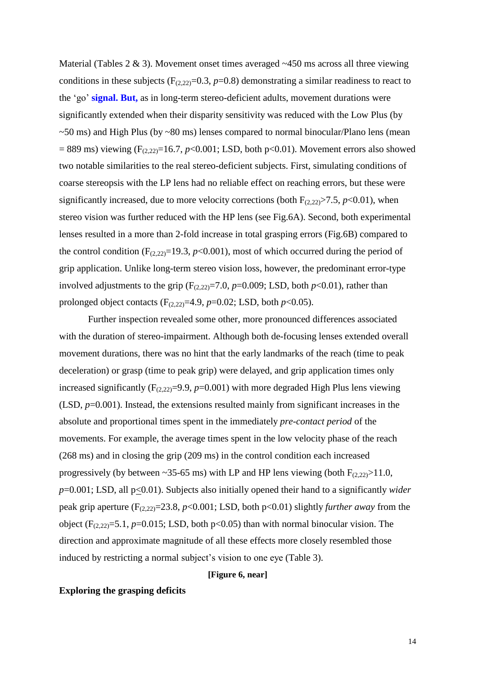Material (Tables  $2 \& 3$ ). Movement onset times averaged  $\sim$  450 ms across all three viewing conditions in these subjects ( $F_{(2,22)}=0.3$ ,  $p=0.8$ ) demonstrating a similar readiness to react to the 'go' **signal. But,** as in long-term stereo-deficient adults, movement durations were significantly extended when their disparity sensitivity was reduced with the Low Plus (by  $\sim$  50 ms) and High Plus (by  $\sim$  80 ms) lenses compared to normal binocular/Plano lens (mean  $= 889$  ms) viewing (F<sub>(2,22)</sub>=16.7, *p*<0.001; LSD, both p<0.01). Movement errors also showed two notable similarities to the real stereo-deficient subjects. First, simulating conditions of coarse stereopsis with the LP lens had no reliable effect on reaching errors, but these were significantly increased, due to more velocity corrections (both  $F_{(2,22)}$  > 7.5,  $p$  < 0.01), when stereo vision was further reduced with the HP lens (see Fig.6A). Second, both experimental lenses resulted in a more than 2-fold increase in total grasping errors (Fig.6B) compared to the control condition  $(F_{(2,22)}=19.3, p<0.001)$ , most of which occurred during the period of grip application. Unlike long-term stereo vision loss, however, the predominant error-type involved adjustments to the grip  $(F_{(2,22)}=7.0, p=0.009; LSD, both p<0.01)$ , rather than prolonged object contacts  $(F_{(2,22)}=4.9, p=0.02;$  LSD, both  $p<0.05$ ).

Further inspection revealed some other, more pronounced differences associated with the duration of stereo-impairment. Although both de-focusing lenses extended overall movement durations, there was no hint that the early landmarks of the reach (time to peak deceleration) or grasp (time to peak grip) were delayed, and grip application times only increased significantly  $(F_{(2,22)}=9.9, p=0.001)$  with more degraded High Plus lens viewing (LSD, *p*=0.001). Instead, the extensions resulted mainly from significant increases in the absolute and proportional times spent in the immediately *pre-contact period* of the movements. For example, the average times spent in the low velocity phase of the reach (268 ms) and in closing the grip (209 ms) in the control condition each increased progressively (by between ~35-65 ms) with LP and HP lens viewing (both  $F_{(2,22)} > 11.0$ , *p*=0.001; LSD, all p<0.01). Subjects also initially opened their hand to a significantly *wider* peak grip aperture (F(2,22)=23.8, *p*<0.001; LSD, both p<0.01) slightly *further away* from the object  $(F_{(2,22)}=5.1, p=0.015; LSD, both p<0.05)$  than with normal binocular vision. The direction and approximate magnitude of all these effects more closely resembled those induced by restricting a normal subject's vision to one eye (Table 3).

#### **[Figure 6, near]**

#### **Exploring the grasping deficits**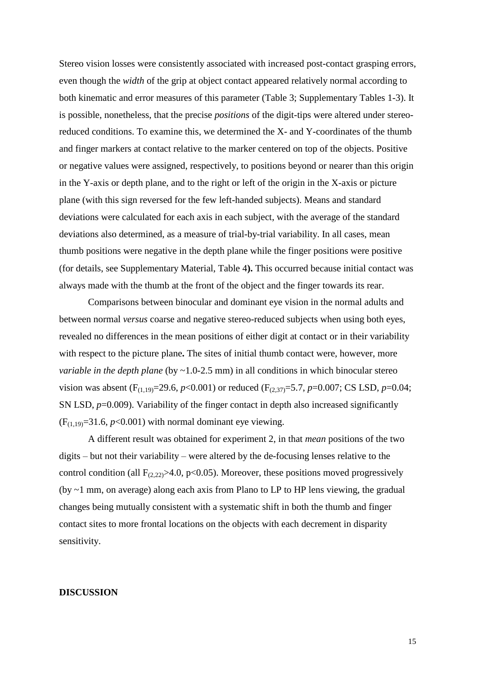Stereo vision losses were consistently associated with increased post-contact grasping errors, even though the *width* of the grip at object contact appeared relatively normal according to both kinematic and error measures of this parameter (Table 3; Supplementary Tables 1-3). It is possible, nonetheless, that the precise *positions* of the digit-tips were altered under stereoreduced conditions. To examine this, we determined the X- and Y-coordinates of the thumb and finger markers at contact relative to the marker centered on top of the objects. Positive or negative values were assigned, respectively, to positions beyond or nearer than this origin in the Y-axis or depth plane, and to the right or left of the origin in the X-axis or picture plane (with this sign reversed for the few left-handed subjects). Means and standard deviations were calculated for each axis in each subject, with the average of the standard deviations also determined, as a measure of trial-by-trial variability. In all cases, mean thumb positions were negative in the depth plane while the finger positions were positive (for details, see Supplementary Material, Table 4**).** This occurred because initial contact was always made with the thumb at the front of the object and the finger towards its rear.

Comparisons between binocular and dominant eye vision in the normal adults and between normal *versus* coarse and negative stereo-reduced subjects when using both eyes, revealed no differences in the mean positions of either digit at contact or in their variability with respect to the picture plane**.** The sites of initial thumb contact were, however, more *variable in the depth plane* (by ~1.0-2.5 mm) in all conditions in which binocular stereo vision was absent (F<sub>(1,19)</sub>=29.6,  $p$ <0.001) or reduced (F<sub>(2,37)</sub>=5.7,  $p$ =0.007; CS LSD,  $p$ =0.04; SN LSD,  $p=0.009$ ). Variability of the finger contact in depth also increased significantly  $(F<sub>(1,19)</sub>=31.6, p<0.001)$  with normal dominant eye viewing.

A different result was obtained for experiment 2, in that *mean* positions of the two digits – but not their variability – were altered by the de-focusing lenses relative to the control condition (all  $F_{(2,22)} > 4.0$ , p<0.05). Moreover, these positions moved progressively (by ~1 mm, on average) along each axis from Plano to LP to HP lens viewing, the gradual changes being mutually consistent with a systematic shift in both the thumb and finger contact sites to more frontal locations on the objects with each decrement in disparity sensitivity.

#### **DISCUSSION**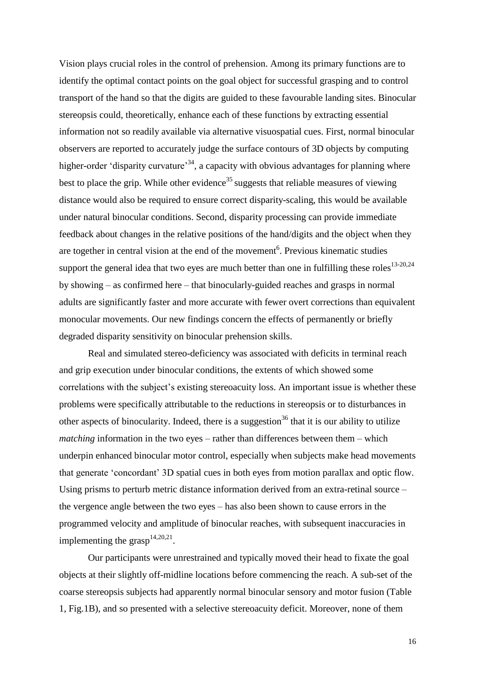Vision plays crucial roles in the control of prehension. Among its primary functions are to identify the optimal contact points on the goal object for successful grasping and to control transport of the hand so that the digits are guided to these favourable landing sites. Binocular stereopsis could, theoretically, enhance each of these functions by extracting essential information not so readily available via alternative visuospatial cues. First, normal binocular observers are reported to accurately judge the surface contours of 3D objects by computing higher-order 'disparity curvature'<sup>34</sup>, a capacity with obvious advantages for planning where best to place the grip. While other evidence<sup>35</sup> suggests that reliable measures of viewing distance would also be required to ensure correct disparity-scaling, this would be available under natural binocular conditions. Second, disparity processing can provide immediate feedback about changes in the relative positions of the hand/digits and the object when they are together in central vision at the end of the movement<sup>6</sup>. Previous kinematic studies support the general idea that two eyes are much better than one in fulfilling these roles<sup>13-20,24</sup> by showing – as confirmed here – that binocularly-guided reaches and grasps in normal adults are significantly faster and more accurate with fewer overt corrections than equivalent monocular movements. Our new findings concern the effects of permanently or briefly degraded disparity sensitivity on binocular prehension skills.

Real and simulated stereo-deficiency was associated with deficits in terminal reach and grip execution under binocular conditions, the extents of which showed some correlations with the subject's existing stereoacuity loss. An important issue is whether these problems were specifically attributable to the reductions in stereopsis or to disturbances in other aspects of binocularity. Indeed, there is a suggestion<sup>36</sup> that it is our ability to utilize *matching* information in the two eyes – rather than differences between them – which underpin enhanced binocular motor control, especially when subjects make head movements that generate 'concordant' 3D spatial cues in both eyes from motion parallax and optic flow. Using prisms to perturb metric distance information derived from an extra-retinal source – the vergence angle between the two eyes – has also been shown to cause errors in the programmed velocity and amplitude of binocular reaches, with subsequent inaccuracies in implementing the grasp<sup>14,20,21</sup>.

Our participants were unrestrained and typically moved their head to fixate the goal objects at their slightly off-midline locations before commencing the reach. A sub-set of the coarse stereopsis subjects had apparently normal binocular sensory and motor fusion (Table 1, Fig.1B), and so presented with a selective stereoacuity deficit. Moreover, none of them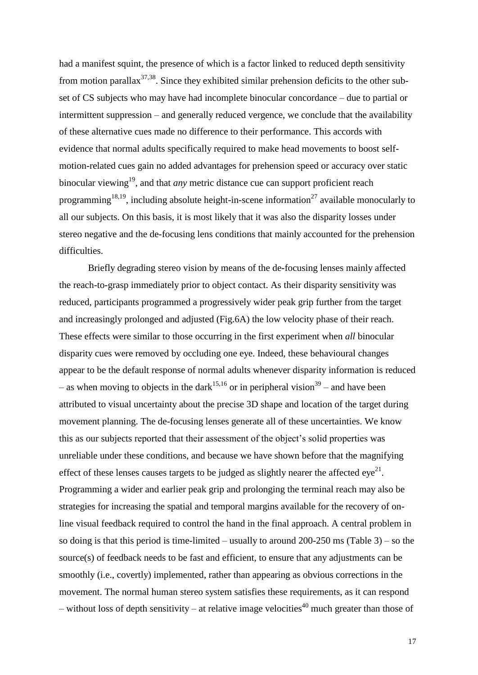had a manifest squint, the presence of which is a factor linked to reduced depth sensitivity from motion parallax<sup>37,38</sup>. Since they exhibited similar prehension deficits to the other subset of CS subjects who may have had incomplete binocular concordance – due to partial or intermittent suppression – and generally reduced vergence, we conclude that the availability of these alternative cues made no difference to their performance. This accords with evidence that normal adults specifically required to make head movements to boost selfmotion-related cues gain no added advantages for prehension speed or accuracy over static binocular viewing<sup>19</sup>, and that *any* metric distance cue can support proficient reach programming<sup>18,19</sup>, including absolute height-in-scene information<sup>27</sup> available monocularly to all our subjects. On this basis, it is most likely that it was also the disparity losses under stereo negative and the de-focusing lens conditions that mainly accounted for the prehension difficulties.

Briefly degrading stereo vision by means of the de-focusing lenses mainly affected the reach-to-grasp immediately prior to object contact. As their disparity sensitivity was reduced, participants programmed a progressively wider peak grip further from the target and increasingly prolonged and adjusted (Fig.6A) the low velocity phase of their reach. These effects were similar to those occurring in the first experiment when *all* binocular disparity cues were removed by occluding one eye. Indeed, these behavioural changes appear to be the default response of normal adults whenever disparity information is reduced – as when moving to objects in the dark<sup>15,16</sup> or in peripheral vision<sup>39</sup> – and have been attributed to visual uncertainty about the precise 3D shape and location of the target during movement planning. The de-focusing lenses generate all of these uncertainties. We know this as our subjects reported that their assessment of the object's solid properties was unreliable under these conditions, and because we have shown before that the magnifying effect of these lenses causes targets to be judged as slightly nearer the affected eye<sup>21</sup>. Programming a wider and earlier peak grip and prolonging the terminal reach may also be strategies for increasing the spatial and temporal margins available for the recovery of online visual feedback required to control the hand in the final approach. A central problem in so doing is that this period is time-limited – usually to around  $200-250$  ms (Table 3) – so the source(s) of feedback needs to be fast and efficient, to ensure that any adjustments can be smoothly (i.e., covertly) implemented, rather than appearing as obvious corrections in the movement. The normal human stereo system satisfies these requirements, as it can respond – without loss of depth sensitivity – at relative image velocities<sup>40</sup> much greater than those of

17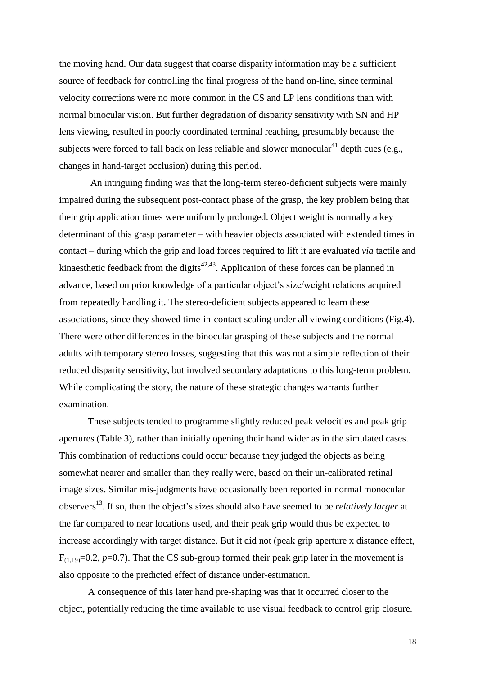the moving hand. Our data suggest that coarse disparity information may be a sufficient source of feedback for controlling the final progress of the hand on-line, since terminal velocity corrections were no more common in the CS and LP lens conditions than with normal binocular vision. But further degradation of disparity sensitivity with SN and HP lens viewing, resulted in poorly coordinated terminal reaching, presumably because the subjects were forced to fall back on less reliable and slower monocular<sup>41</sup> depth cues (e.g., changes in hand-target occlusion) during this period.

An intriguing finding was that the long-term stereo-deficient subjects were mainly impaired during the subsequent post-contact phase of the grasp, the key problem being that their grip application times were uniformly prolonged. Object weight is normally a key determinant of this grasp parameter – with heavier objects associated with extended times in contact – during which the grip and load forces required to lift it are evaluated *via* tactile and kinaesthetic feedback from the digits<sup> $42,43$ </sup>. Application of these forces can be planned in advance, based on prior knowledge of a particular object's size/weight relations acquired from repeatedly handling it. The stereo-deficient subjects appeared to learn these associations, since they showed time-in-contact scaling under all viewing conditions (Fig.4). There were other differences in the binocular grasping of these subjects and the normal adults with temporary stereo losses, suggesting that this was not a simple reflection of their reduced disparity sensitivity, but involved secondary adaptations to this long-term problem. While complicating the story, the nature of these strategic changes warrants further examination.

These subjects tended to programme slightly reduced peak velocities and peak grip apertures (Table 3), rather than initially opening their hand wider as in the simulated cases. This combination of reductions could occur because they judged the objects as being somewhat nearer and smaller than they really were, based on their un-calibrated retinal image sizes. Similar mis-judgments have occasionally been reported in normal monocular observers<sup>13</sup> . If so, then the object's sizes should also have seemed to be *relatively larger* at the far compared to near locations used, and their peak grip would thus be expected to increase accordingly with target distance. But it did not (peak grip aperture x distance effect,  $F_{(1,19)}=0.2$ ,  $p=0.7$ ). That the CS sub-group formed their peak grip later in the movement is also opposite to the predicted effect of distance under-estimation.

A consequence of this later hand pre-shaping was that it occurred closer to the object, potentially reducing the time available to use visual feedback to control grip closure.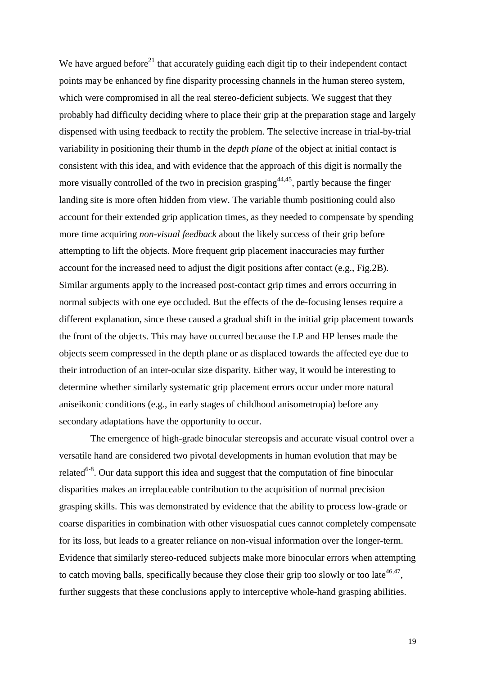We have argued before<sup>21</sup> that accurately guiding each digit tip to their independent contact points may be enhanced by fine disparity processing channels in the human stereo system, which were compromised in all the real stereo-deficient subjects. We suggest that they probably had difficulty deciding where to place their grip at the preparation stage and largely dispensed with using feedback to rectify the problem. The selective increase in trial-by-trial variability in positioning their thumb in the *depth plane* of the object at initial contact is consistent with this idea, and with evidence that the approach of this digit is normally the more visually controlled of the two in precision grasping<sup> $44,45$ </sup>, partly because the finger landing site is more often hidden from view. The variable thumb positioning could also account for their extended grip application times, as they needed to compensate by spending more time acquiring *non-visual feedback* about the likely success of their grip before attempting to lift the objects. More frequent grip placement inaccuracies may further account for the increased need to adjust the digit positions after contact (e.g., Fig.2B). Similar arguments apply to the increased post-contact grip times and errors occurring in normal subjects with one eye occluded. But the effects of the de-focusing lenses require a different explanation, since these caused a gradual shift in the initial grip placement towards the front of the objects. This may have occurred because the LP and HP lenses made the objects seem compressed in the depth plane or as displaced towards the affected eye due to their introduction of an inter-ocular size disparity. Either way, it would be interesting to determine whether similarly systematic grip placement errors occur under more natural aniseikonic conditions (e.g., in early stages of childhood anisometropia) before any secondary adaptations have the opportunity to occur.

The emergence of high-grade binocular stereopsis and accurate visual control over a versatile hand are considered two pivotal developments in human evolution that may be related<sup>6-8</sup>. Our data support this idea and suggest that the computation of fine binocular disparities makes an irreplaceable contribution to the acquisition of normal precision grasping skills. This was demonstrated by evidence that the ability to process low-grade or coarse disparities in combination with other visuospatial cues cannot completely compensate for its loss, but leads to a greater reliance on non-visual information over the longer-term. Evidence that similarly stereo-reduced subjects make more binocular errors when attempting to catch moving balls, specifically because they close their grip too slowly or too late<sup>46,47</sup>, further suggests that these conclusions apply to interceptive whole-hand grasping abilities.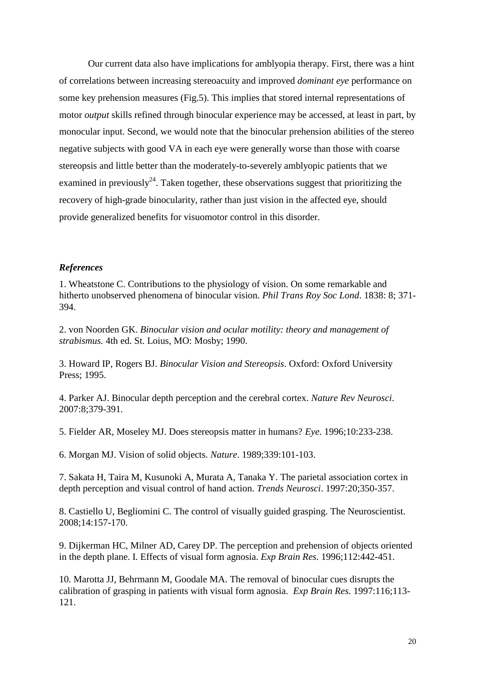Our current data also have implications for amblyopia therapy. First, there was a hint of correlations between increasing stereoacuity and improved *dominant eye* performance on some key prehension measures (Fig.5). This implies that stored internal representations of motor *output* skills refined through binocular experience may be accessed, at least in part, by monocular input. Second, we would note that the binocular prehension abilities of the stereo negative subjects with good VA in each eye were generally worse than those with coarse stereopsis and little better than the moderately-to-severely amblyopic patients that we examined in previously<sup>24</sup>. Taken together, these observations suggest that prioritizing the recovery of high-grade binocularity, rather than just vision in the affected eye, should provide generalized benefits for visuomotor control in this disorder.

#### *References*

1. Wheatstone C. Contributions to the physiology of vision. On some remarkable and hitherto unobserved phenomena of binocular vision. *Phil Trans Roy Soc Lond*. 1838: 8; 371- 394.

2. von Noorden GK. *Binocular vision and ocular motility: theory and management of strabismus.* 4th ed. St. Loius, MO: Mosby; 1990.

3. Howard IP, Rogers BJ. *Binocular Vision and Stereopsis*. Oxford: Oxford University Press; 1995.

4. Parker AJ. Binocular depth perception and the cerebral cortex. *Nature Rev Neurosci*. 2007:8;379-391.

5. Fielder AR, Moseley MJ. Does stereopsis matter in humans? *Eye*. 1996;10:233-238.

6. Morgan MJ. Vision of solid objects. *Nature*. 1989;339:101-103.

7. Sakata H, Taira M, Kusunoki A, Murata A, Tanaka Y. The parietal association cortex in depth perception and visual control of hand action. *Trends Neurosci*. 1997:20;350-357.

8. Castiello U, Begliomini C. The control of visually guided grasping. The Neuroscientist. 2008;14:157-170.

9. Dijkerman HC, Milner AD, Carey DP. The perception and prehension of objects oriented in the depth plane. I. Effects of visual form agnosia. *Exp Brain Res.* 1996;112:442-451.

10. Marotta JJ, Behrmann M, Goodale MA. The removal of binocular cues disrupts the calibration of grasping in patients with visual form agnosia. *Exp Brain Res.* 1997:116;113- 121.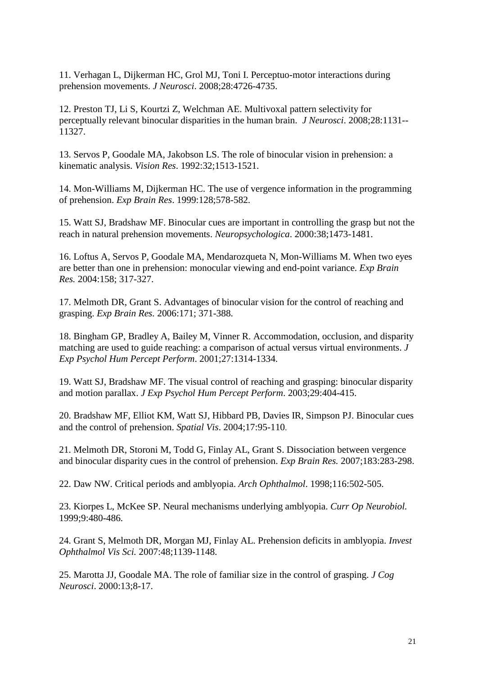11. Verhagan L, Dijkerman HC, Grol MJ, Toni I. Perceptuo-motor interactions during prehension movements. *J Neurosci*. 2008;28:4726-4735.

12. Preston TJ, Li S, Kourtzi Z, Welchman AE. Multivoxal pattern selectivity for perceptually relevant binocular disparities in the human brain. *J Neurosci*. 2008;28:1131-- 11327.

13. Servos P, Goodale MA, Jakobson LS. The role of binocular vision in prehension: a kinematic analysis. *Vision Res*. 1992:32;1513-1521.

14. Mon-Williams M, Dijkerman HC. The use of vergence information in the programming of prehension. *Exp Brain Res*. 1999:128;578-582.

15. Watt SJ, Bradshaw MF. Binocular cues are important in controlling the grasp but not the reach in natural prehension movements. *Neuropsychologica*. 2000:38;1473-1481.

16. Loftus A, Servos P, Goodale MA, Mendarozqueta N, Mon-Williams M. When two eyes are better than one in prehension: monocular viewing and end-point variance. *Exp Brain Res.* 2004:158; 317-327.

17. Melmoth DR, Grant S. Advantages of binocular vision for the control of reaching and grasping. *Exp Brain Res.* 2006:171; 371-388.

18. Bingham GP, Bradley A, Bailey M, Vinner R. Accommodation, occlusion, and disparity matching are used to guide reaching: a comparison of actual versus virtual environments. *J Exp Psychol Hum Percept Perform*. 2001;27:1314-1334.

19. Watt SJ, Bradshaw MF. The visual control of reaching and grasping: binocular disparity and motion parallax. *J Exp Psychol Hum Percept Perform*. 2003;29:404-415.

20. Bradshaw MF, Elliot KM, Watt SJ, Hibbard PB, Davies IR, Simpson PJ. Binocular cues and the control of prehension. *Spatial Vis*. 2004;17:95-110.

21. Melmoth DR, Storoni M, Todd G, Finlay AL, Grant S. Dissociation between vergence and binocular disparity cues in the control of prehension. *Exp Brain Res.* 2007;183:283-298.

22. Daw NW. Critical periods and amblyopia. *Arch Ophthalmol*. 1998;116:502-505.

23. Kiorpes L, McKee SP. Neural mechanisms underlying amblyopia. *Curr Op Neurobiol.* 1999;9:480-486.

24. Grant S, Melmoth DR, Morgan MJ, Finlay AL. Prehension deficits in amblyopia. *Invest Ophthalmol Vis Sci.* 2007:48;1139-1148.

25. Marotta JJ, Goodale MA. The role of familiar size in the control of grasping. *J Cog Neurosci*. 2000:13;8-17.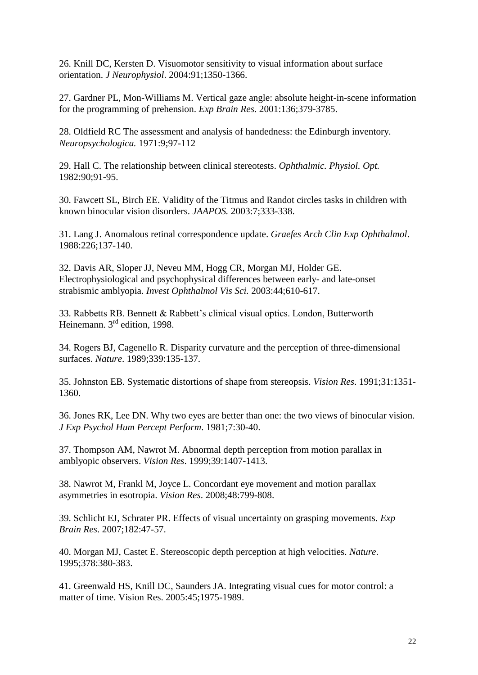26. Knill DC, Kersten D. Visuomotor sensitivity to visual information about surface orientation. *J Neurophysiol*. 2004:91;1350-1366.

27. Gardner PL, Mon-Williams M. Vertical gaze angle: absolute height-in-scene information for the programming of prehension. *Exp Brain Res*. 2001:136;379-3785.

28. Oldfield RC The assessment and analysis of handedness: the Edinburgh inventory. *Neuropsychologica.* 1971:9;97-112

29. Hall C. The relationship between clinical stereotests. *Ophthalmic. Physiol. Opt.*  1982:90;91-95.

30. Fawcett SL, Birch EE. Validity of the Titmus and Randot circles tasks in children with known binocular vision disorders. *JAAPOS.* 2003:7;333-338.

31. Lang J. Anomalous retinal correspondence update. *Graefes Arch Clin Exp Ophthalmol*. 1988:226;137-140.

32. Davis AR, Sloper JJ, Neveu MM, Hogg CR, Morgan MJ, Holder GE. Electrophysiological and psychophysical differences between early- and late-onset strabismic amblyopia. *Invest Ophthalmol Vis Sci.* 2003:44;610-617.

33. Rabbetts RB. Bennett & Rabbett's clinical visual optics. London, Butterworth Heinemann. 3<sup>rd</sup> edition, 1998.

34. Rogers BJ, Cagenello R. Disparity curvature and the perception of three-dimensional surfaces. *Nature*. 1989;339:135-137.

35. Johnston EB. Systematic distortions of shape from stereopsis. *Vision Res*. 1991;31:1351- 1360.

36. Jones RK, Lee DN. Why two eyes are better than one: the two views of binocular vision. *J Exp Psychol Hum Percept Perform*. 1981;7:30-40.

37. Thompson AM, Nawrot M. Abnormal depth perception from motion parallax in amblyopic observers. *Vision Res*. 1999;39:1407-1413.

38. Nawrot M, Frankl M, Joyce L. Concordant eye movement and motion parallax asymmetries in esotropia. *Vision Res*. 2008;48:799-808.

39. Schlicht EJ, Schrater PR. Effects of visual uncertainty on grasping movements. *Exp Brain Res*. 2007;182:47-57.

40. Morgan MJ, Castet E. Stereoscopic depth perception at high velocities. *Nature*. 1995;378:380-383.

41. Greenwald HS, Knill DC, Saunders JA. Integrating visual cues for motor control: a matter of time. Vision Res. 2005:45;1975-1989.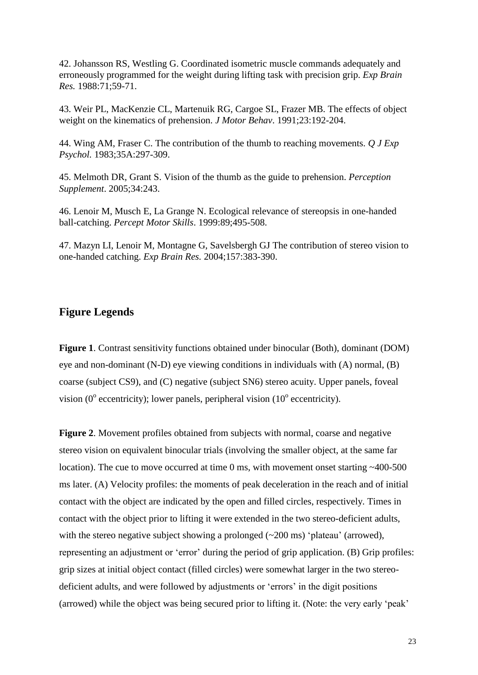42. Johansson RS, Westling G. Coordinated isometric muscle commands adequately and erroneously programmed for the weight during lifting task with precision grip. *Exp Brain Res.* 1988:71;59-71.

43. Weir PL, MacKenzie CL, Martenuik RG, Cargoe SL, Frazer MB. The effects of object weight on the kinematics of prehension. *J Motor Behav*. 1991;23:192-204.

44. Wing AM, Fraser C. The contribution of the thumb to reaching movements. *Q J Exp Psychol.* 1983;35A:297-309.

45. Melmoth DR, Grant S. Vision of the thumb as the guide to prehension. *Perception Supplement*. 2005;34:243.

46. Lenoir M, Musch E, La Grange N. Ecological relevance of stereopsis in one-handed ball-catching. *Percept Motor Skills*. 1999:89;495-508.

47. Mazyn LI, Lenoir M, Montagne G, Savelsbergh GJ The contribution of stereo vision to one-handed catching. *Exp Brain Res.* 2004;157:383-390.

### **Figure Legends**

**Figure 1**. Contrast sensitivity functions obtained under binocular (Both), dominant (DOM) eye and non-dominant (N-D) eye viewing conditions in individuals with (A) normal, (B) coarse (subject CS9), and (C) negative (subject SN6) stereo acuity. Upper panels, foveal vision ( $0^{\circ}$  eccentricity); lower panels, peripheral vision ( $10^{\circ}$  eccentricity).

**Figure 2**. Movement profiles obtained from subjects with normal, coarse and negative stereo vision on equivalent binocular trials (involving the smaller object, at the same far location). The cue to move occurred at time 0 ms, with movement onset starting ~400-500 ms later. (A) Velocity profiles: the moments of peak deceleration in the reach and of initial contact with the object are indicated by the open and filled circles, respectively. Times in contact with the object prior to lifting it were extended in the two stereo-deficient adults, with the stereo negative subject showing a prolonged (~200 ms) 'plateau' (arrowed), representing an adjustment or 'error' during the period of grip application. (B) Grip profiles: grip sizes at initial object contact (filled circles) were somewhat larger in the two stereodeficient adults, and were followed by adjustments or 'errors' in the digit positions (arrowed) while the object was being secured prior to lifting it. (Note: the very early 'peak'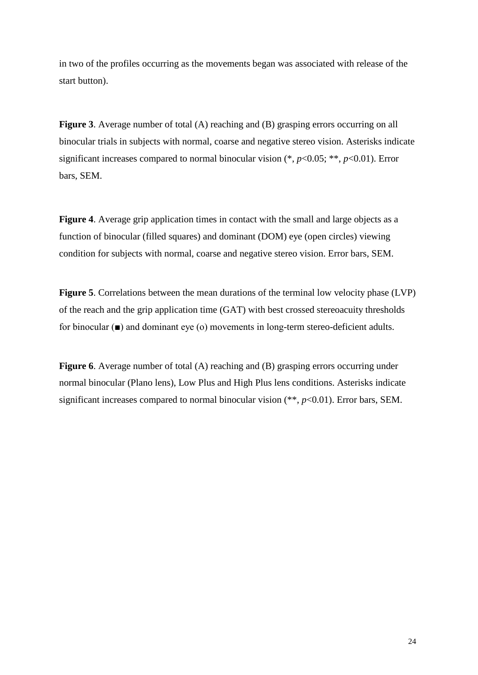in two of the profiles occurring as the movements began was associated with release of the start button).

**Figure 3.** Average number of total (A) reaching and (B) grasping errors occurring on all binocular trials in subjects with normal, coarse and negative stereo vision. Asterisks indicate significant increases compared to normal binocular vision (\*, *p*<0.05; \*\*, *p*<0.01). Error bars, SEM.

**Figure 4**. Average grip application times in contact with the small and large objects as a function of binocular (filled squares) and dominant (DOM) eye (open circles) viewing condition for subjects with normal, coarse and negative stereo vision. Error bars, SEM.

**Figure 5**. Correlations between the mean durations of the terminal low velocity phase (LVP) of the reach and the grip application time (GAT) with best crossed stereoacuity thresholds for binocular (■) and dominant eye (o) movements in long-term stereo-deficient adults.

**Figure 6**. Average number of total (A) reaching and (B) grasping errors occurring under normal binocular (Plano lens), Low Plus and High Plus lens conditions. Asterisks indicate significant increases compared to normal binocular vision (\*\*, *p*<0.01). Error bars, SEM.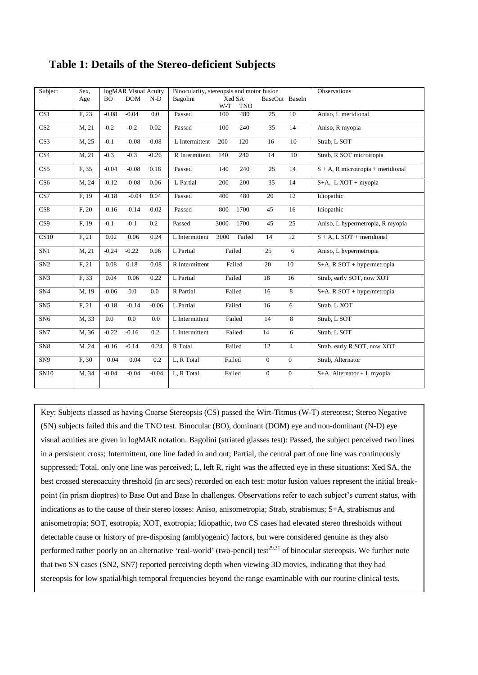| Subject                 | Sex.<br>Age | ВO      | logMAR Visual Acuity<br><b>DOM</b> | $N-D$   | Binocularity, stereopsis and motor fusion<br>Bagolini<br>Xed SA<br>BaseOut BaseIn |        |            |                 | Observations    |                                      |
|-------------------------|-------------|---------|------------------------------------|---------|-----------------------------------------------------------------------------------|--------|------------|-----------------|-----------------|--------------------------------------|
|                         |             |         |                                    |         |                                                                                   | W-T    | <b>TNO</b> |                 |                 |                                      |
| CS <sub>1</sub>         | F, 23       | $-0.08$ | $-0.04$                            | 0.0     | Passed                                                                            | 100    | 480        | 25              | 10              | Aniso, L meridional                  |
| $\overline{\text{CS2}}$ | M, 21       | $-0.2$  | $-0.2$                             | 0.02    | Passed                                                                            | 100    | 240        | $\overline{35}$ | $\overline{14}$ | Aniso, R myopia                      |
| CS <sub>3</sub>         | M, 25       | $-0.1$  | $-0.08$                            | $-0.08$ | L Intermittent                                                                    | 200    | 120        | 16              | 10              | Strab, L SOT                         |
| $\overline{\text{CS4}}$ | M, 21       | $-0.3$  | $-0.3$                             | $-0.26$ | R Intermittent                                                                    | 140    | 240        | 14              | 10              | Strab, R SOT microtropia             |
| CS5                     | F, 35       | $-0.04$ | $-0.08$                            | 0.18    | Passed                                                                            | 140    | 240        | 25              | 14              | $S + A$ , R microtropia + meridional |
| CS6                     | M, 24       | $-0.12$ | $-0.08$                            | 0.06    | L Partial                                                                         | 200    | 200        | $\overline{35}$ | 14              | S+A, L XOT + myopia                  |
| CS7                     | F. 19       | $-0.18$ | $-0.04$                            | 0.04    | Passed                                                                            | 400    | 480        | 20              | 12              | Idiopathic                           |
| CS8                     | F, 20       | $-0.16$ | $-0.14$                            | $-0.02$ | Passed                                                                            | 800    | 1700       | $\overline{45}$ | 16              | Idiopathic                           |
| CS9                     | F, 19       | $-0.1$  | $-0.1$                             | 0.2     | Passed                                                                            | 3000   | 1700       | 45              | 25              | Aniso, L hypermetropia, R myopia     |
| CS10                    | F, 21       | 0.02    | 0.06                               | 0.24    | L Intermittent                                                                    | 3000   | Failed     | 14              | 12              | $S + A$ , L SOT + meridional         |
| SN1                     | M, 21       | $-0.24$ | $-0.22$                            | 0.06    | L Partial                                                                         |        | Failed     | 25              | 6               | Aniso, L hypermetropia               |
| SN2                     | F. 21       | 0.08    | 0.18                               | 0.08    | R Intermittent                                                                    |        | Failed     | 20              | 10              | $S+A$ , R SOT + hypermetropia        |
| SN3                     | F, 33       | 0.04    | 0.06                               | 0.22    | L Partial                                                                         |        | Failed     | 18              | 16              | Strab, early SOT, now XOT            |
| SN <sub>4</sub>         | M, 19       | $-0.06$ | $0.0\,$                            | 0.0     | R Partial                                                                         |        | Failed     | 16              | 8               | S+A, R SOT + hypermetropia           |
| SN5                     | F. 21       | $-0.18$ | $-0.14$                            | $-0.06$ | L Partial                                                                         | Failed |            | 16              | 6               | Strab, L XOT                         |
| SN <sub>6</sub>         | M, 33       | 0.0     | 0.0                                | 0.0     | L Intermittent                                                                    | Failed |            | 14              | 8               | Strab, L SOT                         |
| SN7                     | M, 36       | $-0.22$ | $-0.16$                            | 0.2     | L Intermittent                                                                    | Failed |            | 14              | $\overline{6}$  | Strab, L SOT                         |
| SN <sub>8</sub>         | M, 24       | $-0.16$ | $-0.14$                            | 0.24    | R Total                                                                           |        | Failed     | 12              | $\overline{4}$  | Strab, early R SOT, now XOT          |
| SN <sub>9</sub>         | F, 30       | 0.04    | 0.04                               | 0.2     | L, R Total                                                                        | Failed |            | $\overline{0}$  | $\overline{0}$  | Strab, Alternator                    |
| SN10                    | M, 34       | $-0.04$ | $-0.04$                            | $-0.04$ | L, R Total                                                                        |        | Failed     | $\overline{0}$  | $\overline{0}$  | $S+A$ , Alternator + L myopia        |

## **Table 1: Details of the Stereo-deficient Subjects**

Key: Subjects classed as having Coarse Stereopsis (CS) passed the Wirt-Titmus (W-T) stereotest; Stereo Negative (SN) subjects failed this and the TNO test. Binocular (BO), dominant (DOM) eye and non-dominant (N-D) eye visual acuities are given in logMAR notation. Bagolini (striated glasses test): Passed, the subject perceived two lines in a persistent cross; Intermittent, one line faded in and out; Partial, the central part of one line was continuously suppressed; Total, only one line was perceived; L, left R, right was the affected eye in these situations: Xed SA, the best crossed stereoacuity threshold (in arc secs) recorded on each test: motor fusion values represent the initial breakpoint (in prism dioptres) to Base Out and Base In challenges. Observations refer to each subject's current status, with indications as to the cause of their stereo losses: Aniso, anisometropia; Strab, strabismus; S+A, strabismus and anisometropia; SOT, esotropia; XOT, exotropia; Idiopathic, two CS cases had elevated stereo thresholds without detectable cause or history of pre-disposing (amblyogenic) factors, but were considered genuine as they also performed rather poorly on an alternative 'real-world' (two-pencil) test $^{29,31}$  of binocular stereopsis. We further note that two SN cases (SN2, SN7) reported perceiving depth when viewing 3D movies, indicating that they had stereopsis for low spatial/high temporal frequencies beyond the range examinable with our routine clinical tests.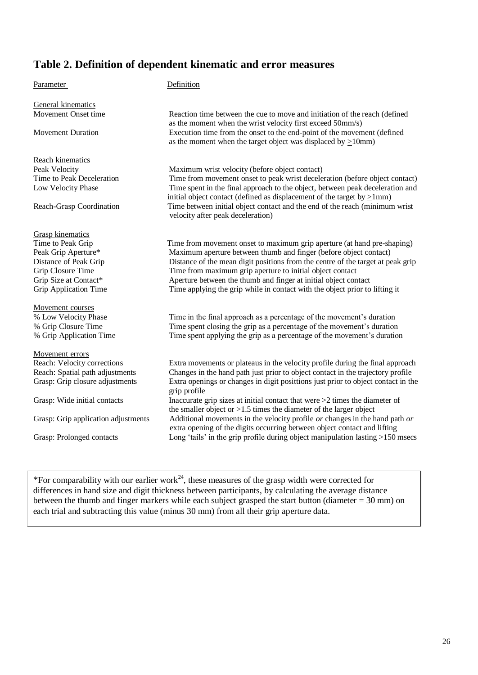## **Table 2. Definition of dependent kinematic and error measures**

Parameter Definition General kinematics Movement Onset time Reaction time between the cue to move and initiation of the reach (defined as the moment when the wrist velocity first exceed 50mm/s) Movement Duration Execution time from the onset to the end-point of the movement (defined as the moment when the target object was displaced by  $>10$ mm) Reach kinematics Peak Velocity Maximum wrist velocity (before object contact) Time to Peak Deceleration Time from movement onset to peak wrist deceleration (before object contact) Low Velocity Phase Time spent in the final approach to the object, between peak deceleration and initial object contact (defined as displacement of the target by  $>1$ mm) Reach-Grasp Coordination Time between initial object contact and the end of the reach (minimum wrist velocity after peak deceleration) Grasp kinematics Reach-Grasp Coordination Time between initial object contact and the end of the reach (minimum wrist<br>
velocity after peak deceleration)<br>
Time to Peak Grip Time from movement onset to maximum grip aperture (at hand pre-shap Peak Grip Aperture\* Maximum aperture between thumb and finger (before object contact)<br>Distance of Peak Grip Distance of the mean digit positions from the centre of the target at po Distance of the mean digit positions from the centre of the target at peak grip Grip Closure Time Time Time from maximum grip aperture to initial object contact Grip Size at Contact\* Aperture between the thumb and finger at initial object contact Grip Application Time Time applying the grip while in contact with the object prior to lifting it Movement courses % Low Velocity Phase Time in the final approach as a percentage of the movement's duration % Grip Closure Time<br>
% Grip Application Time Spent closing the grip as a percentage of the movement's duration<br>
Time spent applying the grip as a percentage of the movement's duration<br>
Suration Time spent applying the grip as a percentage of the movement's duration Movement errors Reach: Velocity corrections Extra movements or plateaus in the velocity profile during the final approach Reach: Spatial path adjustments Changes in the hand path just prior to object contact in the trajectory profile Grasp: Grip closure adjustments Extra openings or changes in digit posittions just prior to object contact in the grip profile Grasp: Wide initial contacts Inaccurate grip sizes at initial contact that were  $\geq 2$  times the diameter of the smaller object or  $>1.5$  times the diameter of the larger object Grasp: Grip application adjustments Additional movements in the velocity profile *or* changes in the hand path *or* extra opening of the digits occurring between object contact and lifting Grasp: Prolonged contacts Long 'tails' in the grip profile during object manipulation lasting >150 msecs

\*For comparability with our earlier work<sup>24</sup>, these measures of the grasp width were corrected for differences in hand size and digit thickness between participants, by calculating the average distance between the thumb and finger markers while each subject grasped the start button (diameter  $= 30$  mm) on each trial and subtracting this value (minus 30 mm) from all their grip aperture data.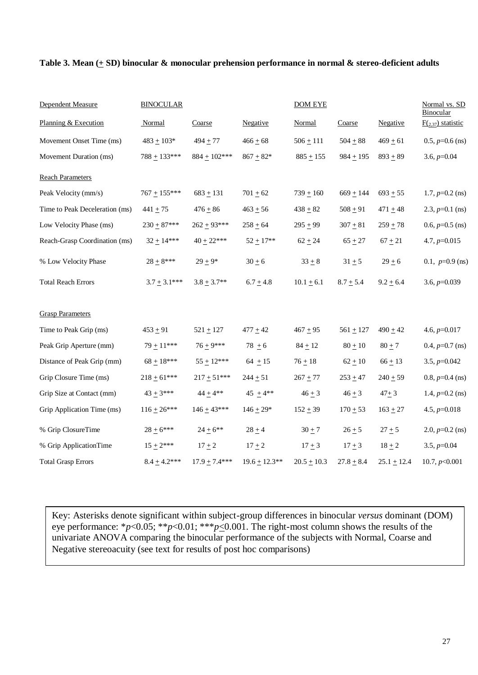#### **Table 3. Mean (+ SD) binocular & monocular prehension performance in normal & stereo-deficient adults**

| Dependent Measure              | <b>BINOCULAR</b> |                 |                    | <b>DOM EYE</b>  | Normal vs. SD<br>Binocular |               |                     |
|--------------------------------|------------------|-----------------|--------------------|-----------------|----------------------------|---------------|---------------------|
| Planning & Execution           | Normal           | Coarse          | Negative           | Normal          | Coarse                     | Negative      | $F(2,37)$ statistic |
| Movement Onset Time (ms)       | $483 + 103*$     | $494 + 77$      | $466 + 68$         | $506 \pm 111$   | $504 + 88$                 | $469 + 61$    | $0.5, p=0.6$ (ns)   |
| Movement Duration (ms)         | $788 + 133***$   | $884 + 102***$  | $867 + 82*$        | $885 + 155$     | $984 + 195$                | $893 + 89$    | $3.6, p=0.04$       |
| <b>Reach Parameters</b>        |                  |                 |                    |                 |                            |               |                     |
| Peak Velocity (mm/s)           | $767 + 155***$   | $683 + 131$     | $701 + 62$         | $739 + 160$     | $669 + 144$                | $693 + 55$    | $1.7, p=0.2$ (ns)   |
| Time to Peak Deceleration (ms) | $441 + 75$       | $476 + 86$      | $463 + 56$         | $438 + 82$      | $508 + 91$                 | 471 $\pm$ 48  | 2.3, $p=0.1$ (ns)   |
| Low Velocity Phase (ms)        | $230 + 87***$    | $262 + 93***$   | $258 + 64$         | $295 + 99$      | $307 + 81$                 | $259 + 78$    | $0.6, p=0.5$ (ns)   |
| Reach-Grasp Coordination (ms)  | $32 + 14***$     | $40 + 22***$    | $52 + 17**$        | $62 + 24$       | $65 + 27$                  | $67 + 21$     | 4.7, $p=0.015$      |
| % Low Velocity Phase           | $28\pm8***$      | $29 + 9*$       | $30 + 6$           | $33 + 8$        | $31 + 5$                   | $29 + 6$      | 0.1, $p=0.9$ (ns)   |
| <b>Total Reach Errors</b>      | $3.7 + 3.1***$   | $3.8 \pm 3.7**$ | $6.7 + 4.8$        | $10.1 \pm 6.1$  | $8.7 + 5.4$                | $9.2 \pm 6.4$ | 3.6, $p=0.039$      |
| <b>Grasp Parameters</b>        |                  |                 |                    |                 |                            |               |                     |
| Time to Peak Grip (ms)         | $453 + 91$       | $521 + 127$     | $477 + 42$         | $467 + 95$      | $561 + 127$                | $490 + 42$    | 4.6, $p=0.017$      |
| Peak Grip Aperture (mm)        | $79 + 11***$     | $76 + 9***$     | $78 + 6$           | $84 + 12$       | $80 + 10$                  | $80 + 7$      | $0.4, p=0.7$ (ns)   |
| Distance of Peak Grip (mm)     | $68 + 18***$     | $55 \pm 12***$  | $64 + 15$          | $76 + 18$       | $62 + 10$                  | $66 + 13$     | $3.5, p=0.042$      |
| Grip Closure Time (ms)         | $218 + 61***$    | $217 + 51***$   | $244 \pm 51$       | $267 + 77$      | $253 + 47$                 | $240 + 59$    | 0.8, $p=0.4$ (ns)   |
| Grip Size at Contact (mm)      | $43 + 3***$      | $44 + 4**$      | 45 $\pm$ 4**       | $46 + 3$        | $46 + 3$                   | $47 + 3$      | 1.4, $p=0.2$ (ns)   |
| Grip Application Time (ms)     | $116 + 26***$    | $146 + 43***$   | $146 + 29*$        | $152 + 39$      | $170 + 53$                 | $163 + 27$    | 4.5, $p=0.018$      |
| % Grip ClosureTime             | $28 + 6***$      | $24 \pm 6**$    | $28 + 4$           | $30 + 7$        | $26 + 5$                   | $27 + 5$      | $2.0, p=0.2$ (ns)   |
| % Grip ApplicationTime         | $15 + 2***$      | $17 + 2$        | $17 + 2$           | $17 \pm 3$      | $17 + 3$                   | $18 + 2$      | $3.5, p=0.04$       |
| <b>Total Grasp Errors</b>      | $8.4 + 4.2***$   | $17.9 + 7.4***$ | $19.6 \pm 12.3$ ** | $20.5 \pm 10.3$ | $27.8 + 8.4$               | $25.1 + 12.4$ | 10.7, $p<0.001$     |

Key: Asterisks denote significant within subject-group differences in binocular *versus* dominant (DOM) eye performance: \**p*<0.05; \*\**p*<0.01; \*\*\**p*<0.001. The right-most column shows the results of the univariate ANOVA comparing the binocular performance of the subjects with Normal, Coarse and Negative stereoacuity (see text for results of post hoc comparisons)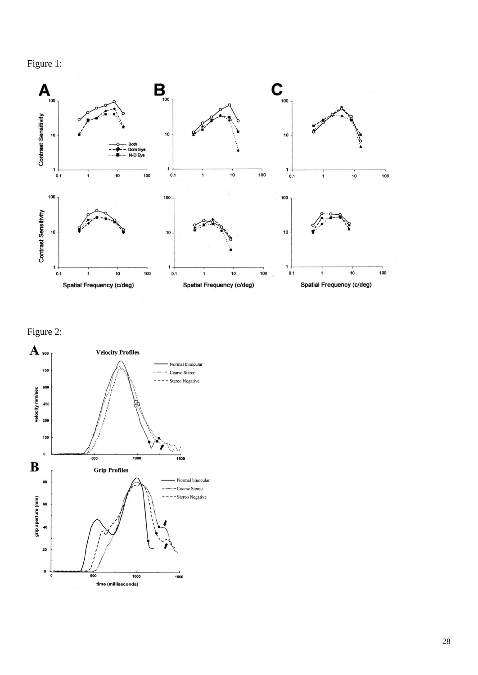



Figure 2:

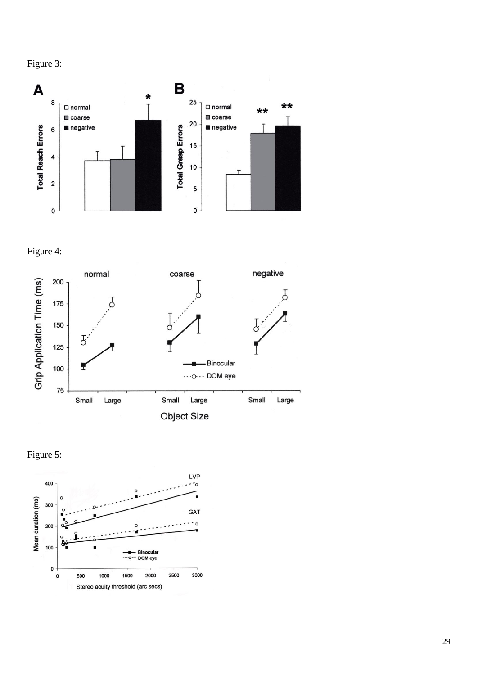



Figure 4: